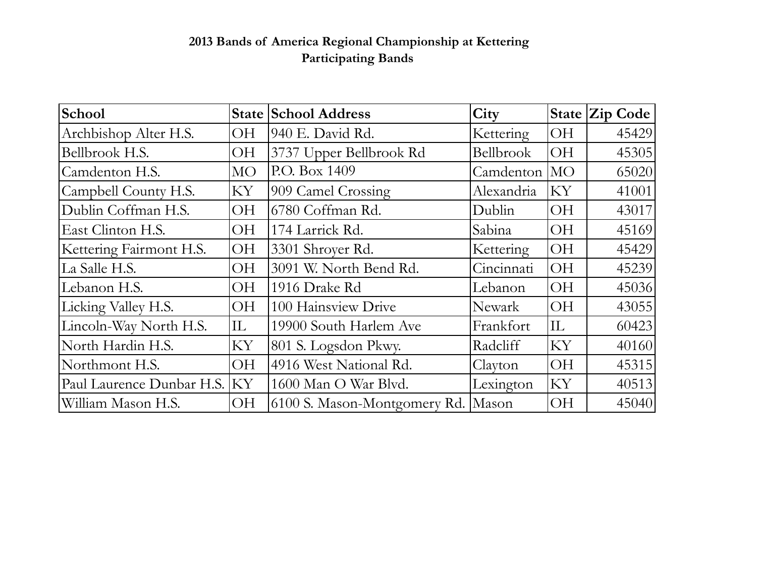## **2013 Bands of America Regional Championship at Kettering Participating Bands**

| School                       |              | <b>State School Address</b>        | City             |              | State Zip Code |
|------------------------------|--------------|------------------------------------|------------------|--------------|----------------|
| Archbishop Alter H.S.        | OН           | 940 E. David Rd.                   | Kettering        | <b>OH</b>    | 45429          |
| Bellbrook H.S.               | <b>OH</b>    | 3737 Upper Bellbrook Rd            | Bellbrook        | <b>OH</b>    | 45305          |
| Camdenton H.S.               | МO           | P.O. Box 1409                      | Camdenton        | MO           | 65020          |
| Campbell County H.S.         | KY           | 909 Camel Crossing                 | Alexandria       | KY           | 41001          |
| Dublin Coffman H.S.          | <b>OH</b>    | 6780 Coffman Rd.                   | Dublin           | <b>OH</b>    | 43017          |
| East Clinton H.S.            | <b>OH</b>    | 174 Larrick Rd.                    | Sabina           | <b>OH</b>    | 45169          |
| Kettering Fairmont H.S.      | <b>OH</b>    | 3301 Shroyer Rd.                   | <b>Kettering</b> | ЮH           | 45429          |
| La Salle H.S.                | <b>OH</b>    | 3091 W. North Bend Rd.             | Cincinnati       | <b>OH</b>    | 45239          |
| Lebanon H.S.                 | <b>OH</b>    | 1916 Drake Rd                      | Lebanon          | ЮH           | 45036          |
| Licking Valley H.S.          | <b>OH</b>    | 100 Hainsview Drive                | Newark           | <b>OH</b>    | 43055          |
| Lincoln-Way North H.S.       | $ {\rm IL} $ | 19900 South Harlem Ave             | Frankfort        | $ {\rm IL} $ | 60423          |
| North Hardin H.S.            | KY           | 801 S. Logsdon Pkwy.               | Radcliff         | KY           | 40160          |
| Northmont H.S.               | <b>OH</b>    | 4916 West National Rd.             | Clayton          | <b>OH</b>    | 45315          |
| Paul Laurence Dunbar H.S. KY |              | 1600 Man O War Blvd.               | Lexington        | KY           | 40513          |
| William Mason H.S.           | <b>OH</b>    | 6100 S. Mason-Montgomery Rd. Mason |                  | ЮH           | 45040          |